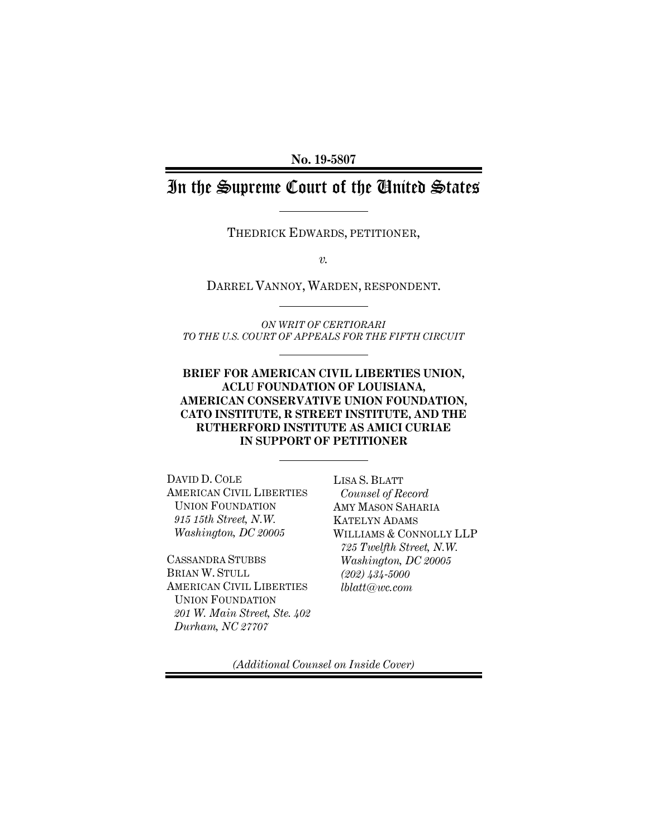**No. 19-5807** 

# In the Supreme Court of the United States

THEDRICK EDWARDS, PETITIONER,

*v.* 

DARREL VANNOY, WARDEN, RESPONDENT.

*ON WRIT OF CERTIORARI TO THE U.S. COURT OF APPEALS FOR THE FIFTH CIRCUIT* 

**BRIEF FOR AMERICAN CIVIL LIBERTIES UNION, ACLU FOUNDATION OF LOUISIANA, AMERICAN CONSERVATIVE UNION FOUNDATION, CATO INSTITUTE, R STREET INSTITUTE, AND THE RUTHERFORD INSTITUTE AS AMICI CURIAE IN SUPPORT OF PETITIONER** 

DAVID D. COLE AMERICAN CIVIL LIBERTIES UNION FOUNDATION *915 15th Street, N.W. Washington, DC 20005* 

CASSANDRA STUBBS BRIAN W. STULL AMERICAN CIVIL LIBERTIES UNION FOUNDATION *201 W. Main Street, Ste. 402 Durham, NC 27707*

LISA S. BLATT *Counsel of Record*  AMY MASON SAHARIA KATELYN ADAMS WILLIAMS & CONNOLLY LLP *725 Twelfth Street, N.W. Washington, DC 20005 (202) 434-5000 lblatt@wc.com* 

*(Additional Counsel on Inside Cover)*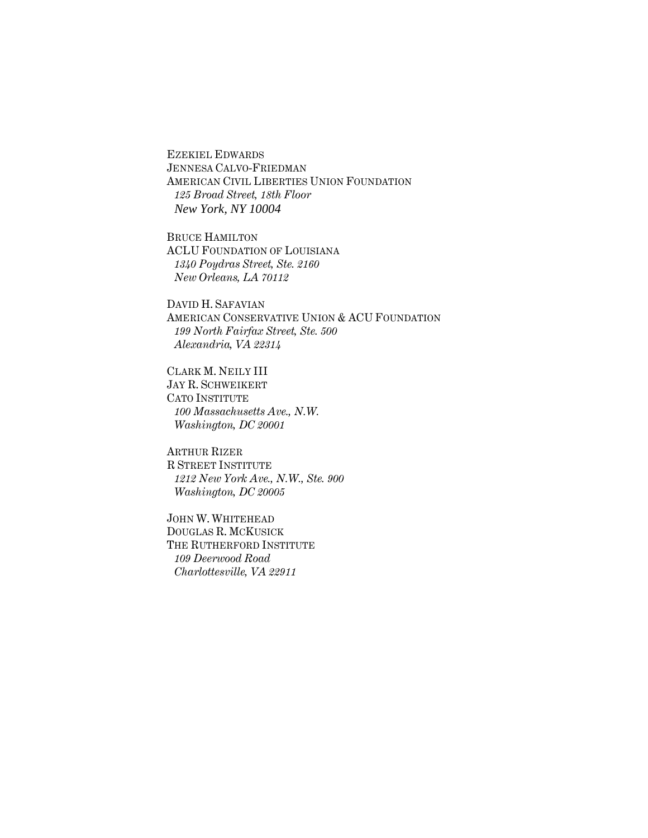EZEKIEL EDWARDS JENNESA CALVO-FRIEDMAN AMERICAN CIVIL LIBERTIES UNION FOUNDATION *125 Broad Street, 18th Floor New York, NY 10004* 

BRUCE HAMILTON ACLU FOUNDATION OF LOUISIANA *1340 Poydras Street, Ste. 2160 New Orleans, LA 70112* 

DAVID H. SAFAVIAN AMERICAN CONSERVATIVE UNION & ACU FOUNDATION *199 North Fairfax Street, Ste. 500 Alexandria, VA 22314* 

CLARK M. NEILY III JAY R. SCHWEIKERT CATO INSTITUTE *100 Massachusetts Ave., N.W. Washington, DC 20001* 

ARTHUR RIZER R STREET INSTITUTE *1212 New York Ave., N.W., Ste. 900 Washington, DC 20005* 

JOHN W. WHITEHEAD DOUGLAS R. MCKUSICK THE RUTHERFORD INSTITUTE *109 Deerwood Road Charlottesville, VA 22911*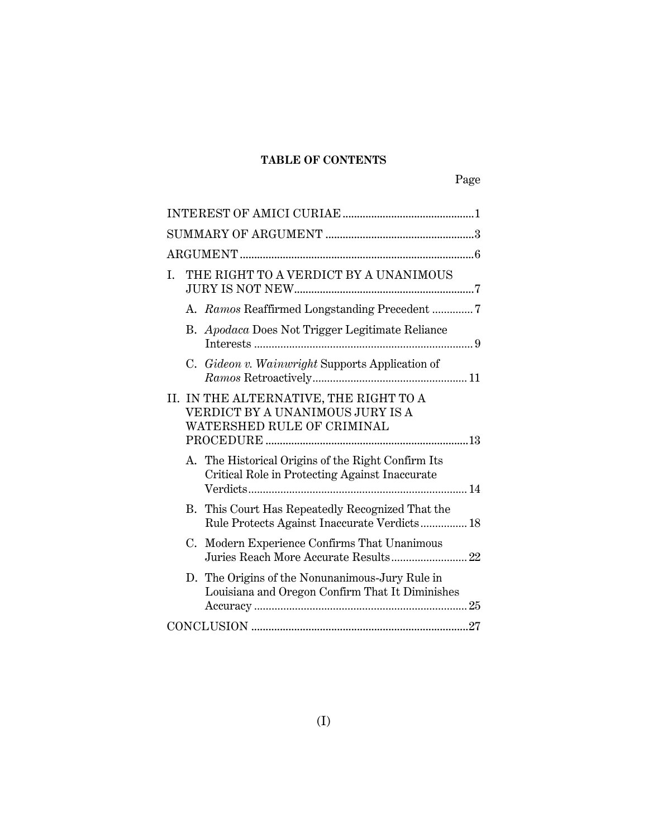# **TABLE OF CONTENTS**

| THE RIGHT TO A VERDICT BY A UNANIMOUS<br>I.                                                              |
|----------------------------------------------------------------------------------------------------------|
|                                                                                                          |
| B. Apodaca Does Not Trigger Legitimate Reliance                                                          |
| C. Gideon v. Wainwright Supports Application of                                                          |
| II. IN THE ALTERNATIVE, THE RIGHT TO A<br>VERDICT BY A UNANIMOUS JURY IS A<br>WATERSHED RULE OF CRIMINAL |
| A. The Historical Origins of the Right Confirm Its<br>Critical Role in Protecting Against Inaccurate     |
| B. This Court Has Repeatedly Recognized That the<br>Rule Protects Against Inaccurate Verdicts 18         |
| Modern Experience Confirms That Unanimous<br>C.                                                          |
| D. The Origins of the Nonunanimous-Jury Rule in<br>Louisiana and Oregon Confirm That It Diminishes       |
|                                                                                                          |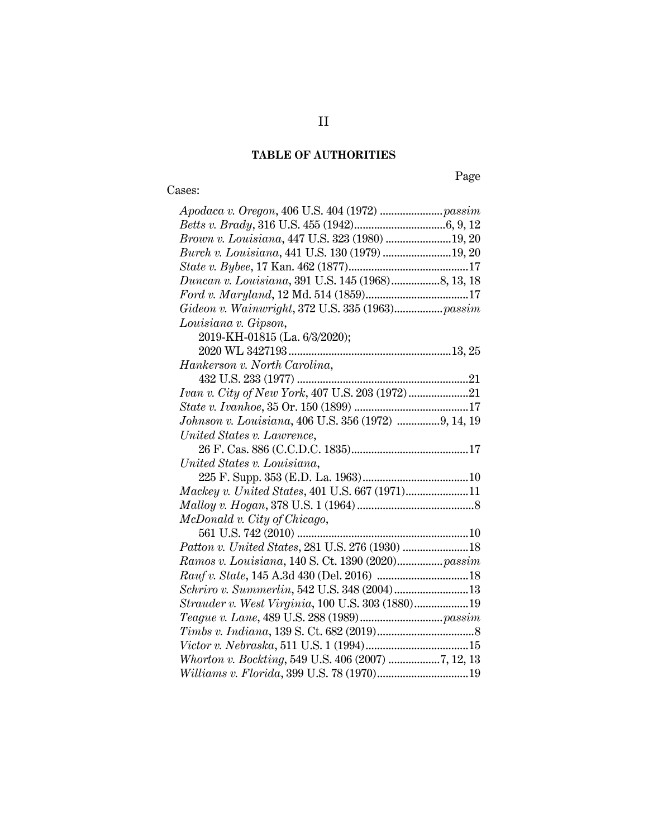# **TABLE OF AUTHORITIES**

# Cases:

Page

| Brown v. Louisiana, 447 U.S. 323 (1980)  19, 20                                                                     |
|---------------------------------------------------------------------------------------------------------------------|
| Burch v. Louisiana, 441 U.S. 130 (1979) 19, 20                                                                      |
|                                                                                                                     |
| Duncan v. Louisiana, 391 U.S. 145 (1968)8, 13, 18                                                                   |
|                                                                                                                     |
| $\emph{Gideon v. Wainwright}, 372 \; \emph{U.S.} \; 335 \; (1963) \ldots \ldots \ldots \ldots \ldots \text{passim}$ |
| Louisiana v. Gipson,                                                                                                |
| 2019-KH-01815 (La. 6/3/2020);                                                                                       |
|                                                                                                                     |
| Hankerson v. North Carolina,                                                                                        |
|                                                                                                                     |
|                                                                                                                     |
|                                                                                                                     |
| Johnson v. Louisiana, 406 U.S. 356 (1972) 9, 14, 19                                                                 |
| United States v. Lawrence,                                                                                          |
|                                                                                                                     |
|                                                                                                                     |
| United States v. Louisiana,                                                                                         |
|                                                                                                                     |
| Mackey v. United States, 401 U.S. 667 (1971)11                                                                      |
|                                                                                                                     |
| McDonald v. City of Chicago,                                                                                        |
|                                                                                                                     |
| Patton v. United States, 281 U.S. 276 (1930)  18                                                                    |
| Ramos v. Louisiana, 140 S. Ct. 1390 (2020) passim                                                                   |
|                                                                                                                     |
| Schriro v. Summerlin, 542 U.S. 348 (2004)13                                                                         |
| Strauder v. West Virginia, 100 U.S. 303 (1880)19                                                                    |
|                                                                                                                     |
|                                                                                                                     |
|                                                                                                                     |
| Whorton v. Bockting, 549 U.S. 406 (2007) 7, 12, 13<br>Williams v. Florida, 399 U.S. 78 (1970)19                     |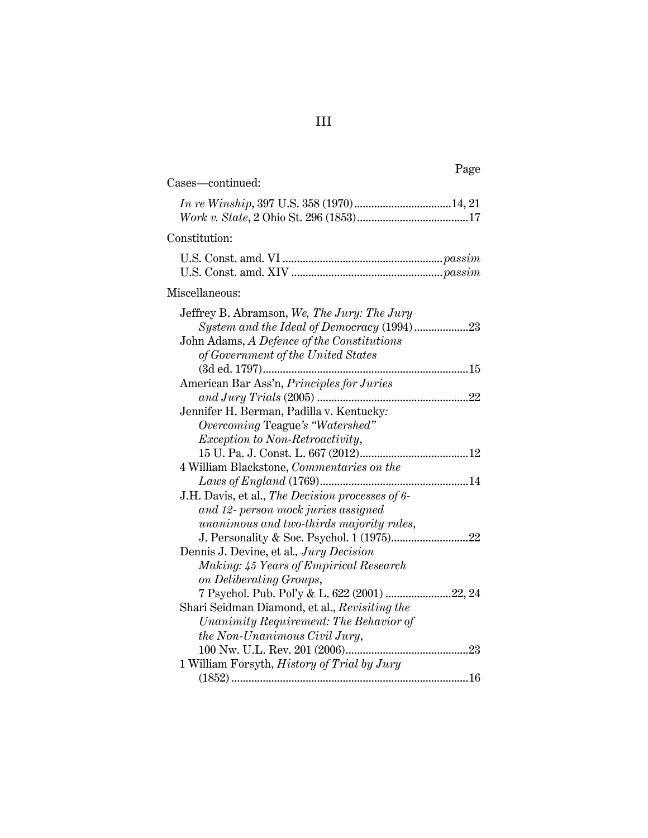| Page                                                                                                                                                                          |
|-------------------------------------------------------------------------------------------------------------------------------------------------------------------------------|
| Cases-continued:                                                                                                                                                              |
|                                                                                                                                                                               |
| Constitution:                                                                                                                                                                 |
|                                                                                                                                                                               |
| Miscellaneous:                                                                                                                                                                |
| Jeffrey B. Abramson, We, The Jury: The Jury<br>System and the Ideal of Democracy (1994)23<br>John Adams, A Defence of the Constitutions<br>of Government of the United States |
|                                                                                                                                                                               |
| American Bar Ass'n, Principles for Juries<br>Jennifer H. Berman, Padilla v. Kentucky:<br>Overcoming Teague's "Watershed"                                                      |
| <i>Exception to Non-Retroactivity,</i>                                                                                                                                        |
|                                                                                                                                                                               |
| 4 William Blackstone, Commentaries on the                                                                                                                                     |
| J.H. Davis, et al., The Decision processes of 6-<br>and 12- person mock juries assigned                                                                                       |
| unanimous and two-thirds majority rules,                                                                                                                                      |
| Dennis J. Devine, et al., Jury Decision<br>Making: 45 Years of Empirical Research<br>on Deliberating Groups,                                                                  |
| 7 Psychol. Pub. Pol'y & L. 622 (2001) 22, 24                                                                                                                                  |
| Shari Seidman Diamond, et al., Revisiting the<br>Unanimity Requirement: The Behavior of<br>the Non-Unanimous Civil Jury,                                                      |
|                                                                                                                                                                               |
| 1 William Forsyth, History of Trial by Jury                                                                                                                                   |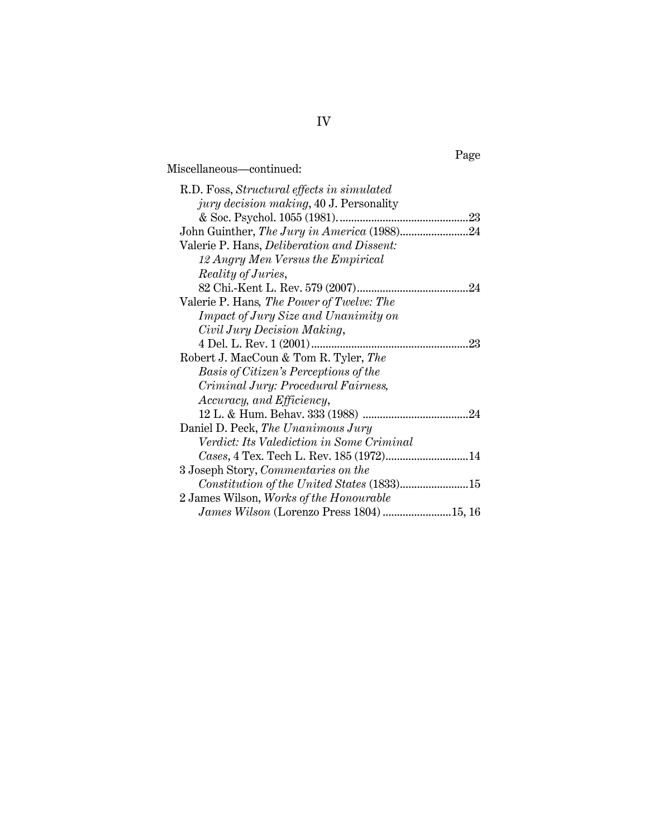# Miscellaneous—continued:

| R.D. Foss, Structural effects in simulated        |
|---------------------------------------------------|
| <i>jury decision making</i> , 40 J. Personality   |
|                                                   |
| John Guinther, The Jury in America (1988)24       |
| Valerie P. Hans, <i>Deliberation and Dissent:</i> |
| 12 Angry Men Versus the Empirical                 |
| <i>Reality of Juries,</i>                         |
|                                                   |
| Valerie P. Hans, The Power of Twelve: The         |
| <i>Impact of Jury Size and Unanimity on</i>       |
| Civil Jury Decision Making,                       |
|                                                   |
| Robert J. MacCoun & Tom R. Tyler, The             |
| Basis of Citizen's Perceptions of the             |
| Criminal Jury: Procedural Fairness,               |
| Accuracy, and Efficiency,                         |
|                                                   |
| Daniel D. Peck, The Unanimous Jury                |
| Verdict: Its Valediction in Some Criminal         |
|                                                   |
| 3 Joseph Story, Commentaries on the               |
|                                                   |
| 2 James Wilson, Works of the Honourable           |
|                                                   |

# Page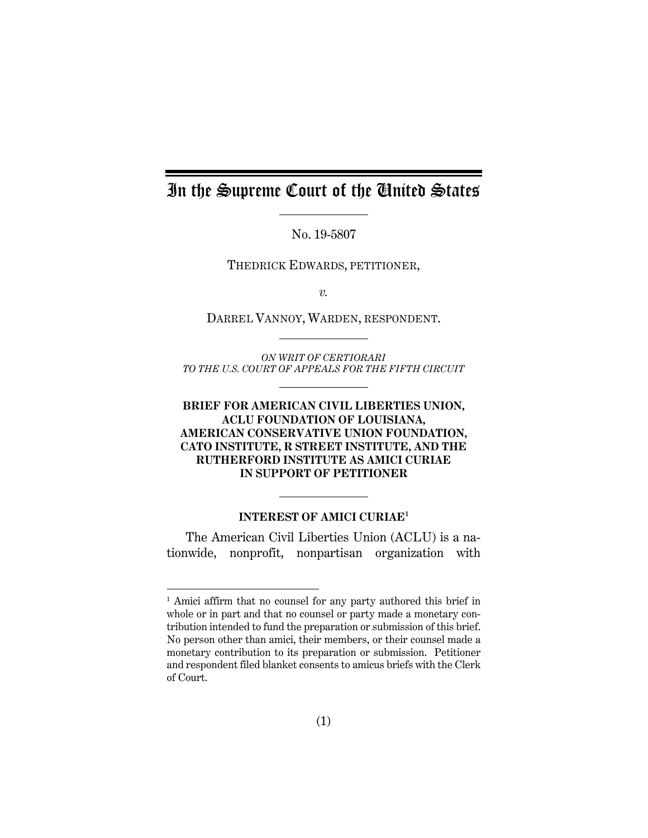# In the Supreme Court of the United States

No. 19-5807

THEDRICK EDWARDS, PETITIONER,

*v.* 

DARREL VANNOY, WARDEN, RESPONDENT.

*ON WRIT OF CERTIORARI TO THE U.S. COURT OF APPEALS FOR THE FIFTH CIRCUIT* 

## **BRIEF FOR AMERICAN CIVIL LIBERTIES UNION, ACLU FOUNDATION OF LOUISIANA, AMERICAN CONSERVATIVE UNION FOUNDATION, CATO INSTITUTE, R STREET INSTITUTE, AND THE RUTHERFORD INSTITUTE AS AMICI CURIAE IN SUPPORT OF PETITIONER**

#### **INTEREST OF AMICI CURIAE1**

The American Civil Liberties Union (ACLU) is a nationwide, nonprofit, nonpartisan organization with

 $\overline{a}$ 

<sup>&</sup>lt;sup>1</sup> Amici affirm that no counsel for any party authored this brief in whole or in part and that no counsel or party made a monetary contribution intended to fund the preparation or submission of this brief. No person other than amici, their members, or their counsel made a monetary contribution to its preparation or submission. Petitioner and respondent filed blanket consents to amicus briefs with the Clerk of Court.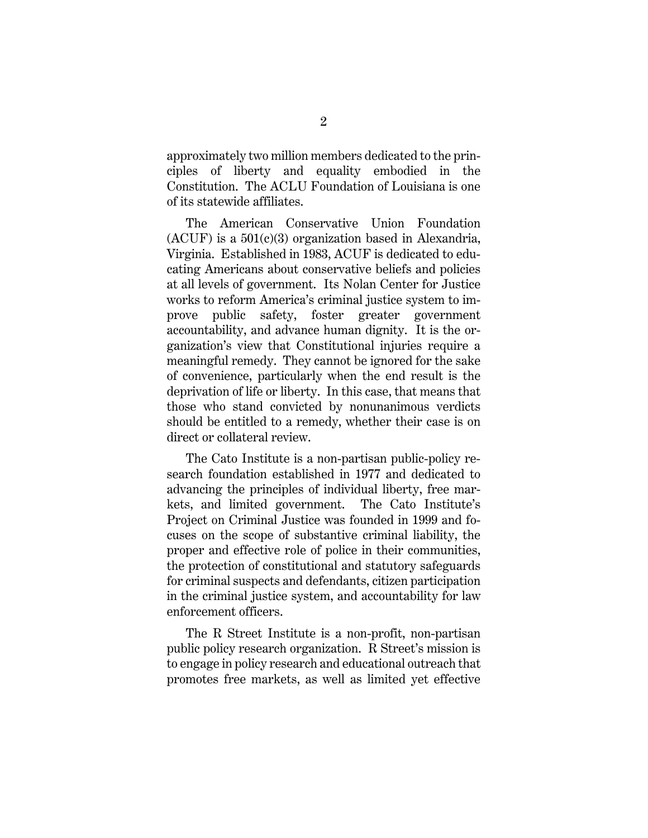approximately two million members dedicated to the principles of liberty and equality embodied in the Constitution. The ACLU Foundation of Louisiana is one of its statewide affiliates.

The American Conservative Union Foundation  $(ACUF)$  is a  $501(c)(3)$  organization based in Alexandria, Virginia. Established in 1983, ACUF is dedicated to educating Americans about conservative beliefs and policies at all levels of government. Its Nolan Center for Justice works to reform America's criminal justice system to improve public safety, foster greater government accountability, and advance human dignity. It is the organization's view that Constitutional injuries require a meaningful remedy. They cannot be ignored for the sake of convenience, particularly when the end result is the deprivation of life or liberty. In this case, that means that those who stand convicted by nonunanimous verdicts should be entitled to a remedy, whether their case is on direct or collateral review.

The Cato Institute is a non-partisan public-policy research foundation established in 1977 and dedicated to advancing the principles of individual liberty, free markets, and limited government. The Cato Institute's Project on Criminal Justice was founded in 1999 and focuses on the scope of substantive criminal liability, the proper and effective role of police in their communities, the protection of constitutional and statutory safeguards for criminal suspects and defendants, citizen participation in the criminal justice system, and accountability for law enforcement officers.

The R Street Institute is a non-profit, non-partisan public policy research organization. R Street's mission is to engage in policy research and educational outreach that promotes free markets, as well as limited yet effective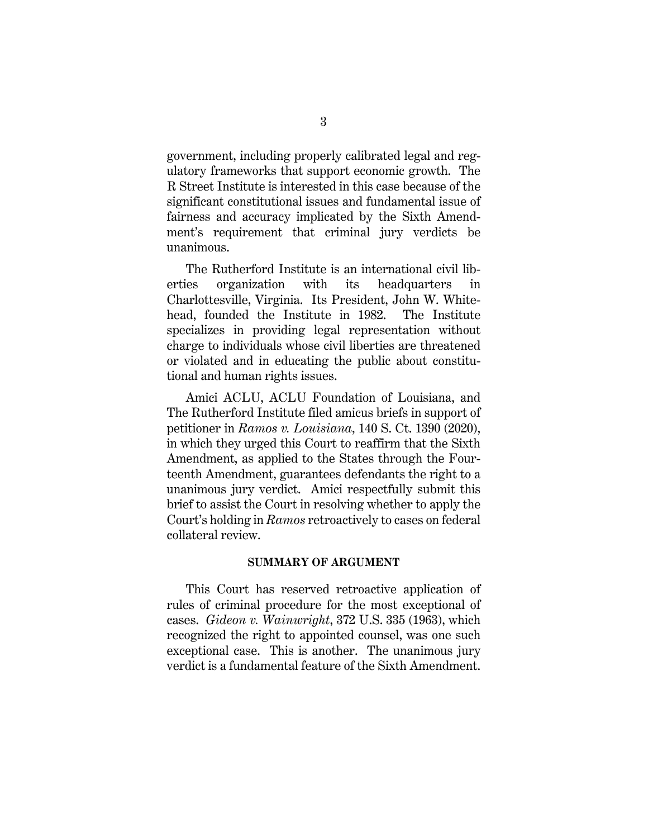government, including properly calibrated legal and regulatory frameworks that support economic growth. The R Street Institute is interested in this case because of the significant constitutional issues and fundamental issue of fairness and accuracy implicated by the Sixth Amendment's requirement that criminal jury verdicts be unanimous.

The Rutherford Institute is an international civil liberties organization with its headquarters in Charlottesville, Virginia. Its President, John W. Whitehead, founded the Institute in 1982. The Institute specializes in providing legal representation without charge to individuals whose civil liberties are threatened or violated and in educating the public about constitutional and human rights issues.

Amici ACLU, ACLU Foundation of Louisiana, and The Rutherford Institute filed amicus briefs in support of petitioner in *Ramos v. Louisiana*, 140 S. Ct. 1390 (2020), in which they urged this Court to reaffirm that the Sixth Amendment, as applied to the States through the Fourteenth Amendment, guarantees defendants the right to a unanimous jury verdict. Amici respectfully submit this brief to assist the Court in resolving whether to apply the Court's holding in *Ramos* retroactively to cases on federal collateral review.

#### **SUMMARY OF ARGUMENT**

This Court has reserved retroactive application of rules of criminal procedure for the most exceptional of cases. *Gideon v. Wainwright*, 372 U.S. 335 (1963), which recognized the right to appointed counsel, was one such exceptional case. This is another. The unanimous jury verdict is a fundamental feature of the Sixth Amendment.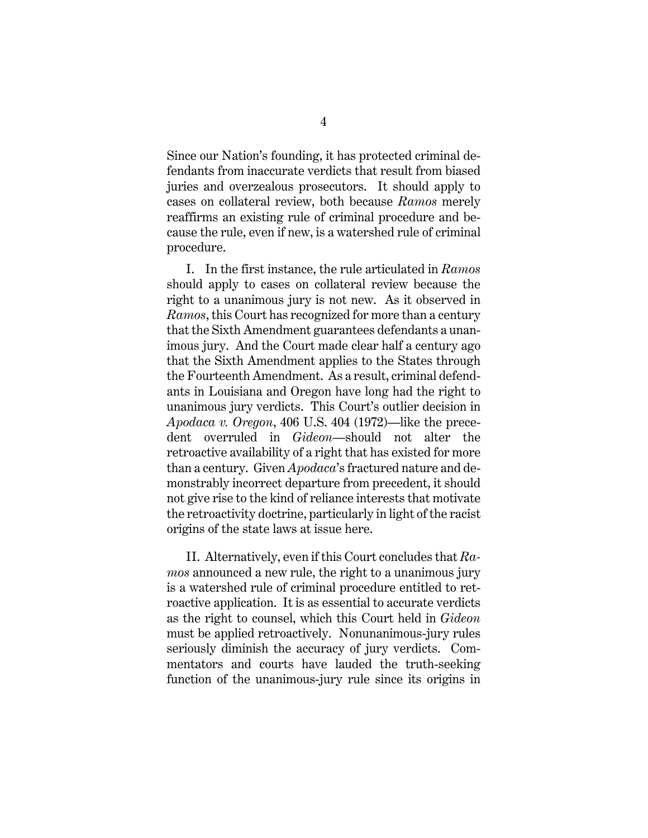Since our Nation's founding, it has protected criminal defendants from inaccurate verdicts that result from biased juries and overzealous prosecutors. It should apply to cases on collateral review, both because *Ramos* merely reaffirms an existing rule of criminal procedure and because the rule, even if new, is a watershed rule of criminal procedure.

I. In the first instance, the rule articulated in *Ramos* should apply to cases on collateral review because the right to a unanimous jury is not new. As it observed in *Ramos*, this Court has recognized for more than a century that the Sixth Amendment guarantees defendants a unanimous jury. And the Court made clear half a century ago that the Sixth Amendment applies to the States through the Fourteenth Amendment. As a result, criminal defendants in Louisiana and Oregon have long had the right to unanimous jury verdicts. This Court's outlier decision in *Apodaca v. Oregon*, 406 U.S. 404 (1972)—like the precedent overruled in *Gideon*—should not alter the retroactive availability of a right that has existed for more than a century. Given *Apodaca*'s fractured nature and demonstrably incorrect departure from precedent, it should not give rise to the kind of reliance interests that motivate the retroactivity doctrine, particularly in light of the racist origins of the state laws at issue here.

II. Alternatively, even if this Court concludes that *Ramos* announced a new rule, the right to a unanimous jury is a watershed rule of criminal procedure entitled to retroactive application. It is as essential to accurate verdicts as the right to counsel, which this Court held in *Gideon* must be applied retroactively.Nonunanimous-jury rules seriously diminish the accuracy of jury verdicts. Commentators and courts have lauded the truth-seeking function of the unanimous-jury rule since its origins in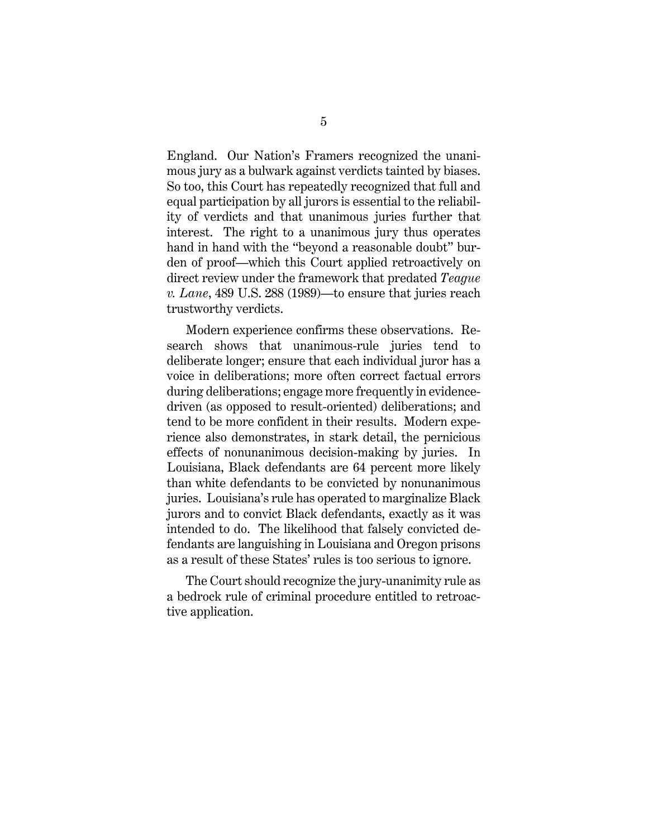England. Our Nation's Framers recognized the unanimous jury as a bulwark against verdicts tainted by biases. So too, this Court has repeatedly recognized that full and equal participation by all jurors is essential to the reliability of verdicts and that unanimous juries further that interest. The right to a unanimous jury thus operates hand in hand with the "beyond a reasonable doubt" burden of proof—which this Court applied retroactively on direct review under the framework that predated *Teague v. Lane*, 489 U.S. 288 (1989)—to ensure that juries reach trustworthy verdicts.

Modern experience confirms these observations. Research shows that unanimous-rule juries tend to deliberate longer; ensure that each individual juror has a voice in deliberations; more often correct factual errors during deliberations; engage more frequently in evidencedriven (as opposed to result-oriented) deliberations; and tend to be more confident in their results. Modern experience also demonstrates, in stark detail, the pernicious effects of nonunanimous decision-making by juries. In Louisiana, Black defendants are 64 percent more likely than white defendants to be convicted by nonunanimous juries. Louisiana's rule has operated to marginalize Black jurors and to convict Black defendants, exactly as it was intended to do. The likelihood that falsely convicted defendants are languishing in Louisiana and Oregon prisons as a result of these States' rules is too serious to ignore.

The Court should recognize the jury-unanimity rule as a bedrock rule of criminal procedure entitled to retroactive application.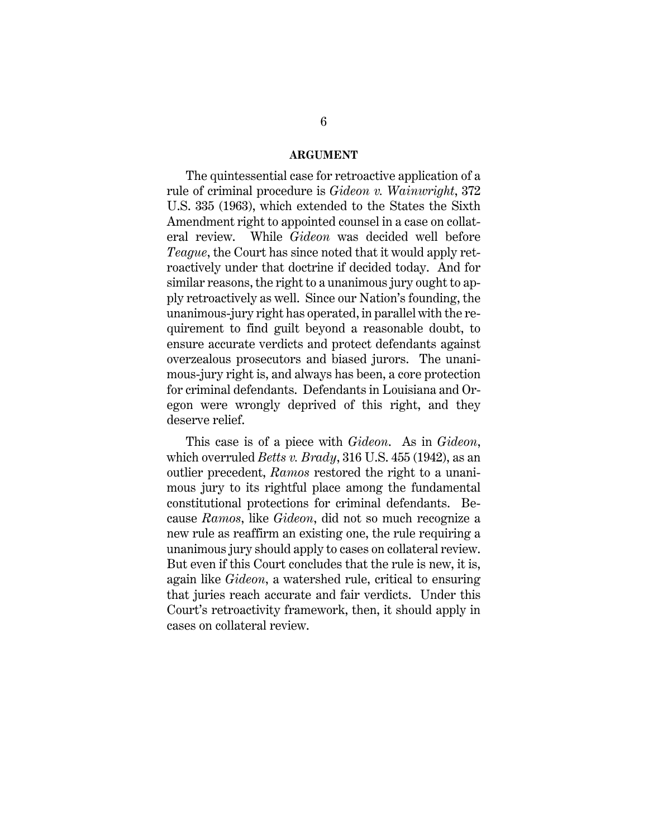#### **ARGUMENT**

The quintessential case for retroactive application of a rule of criminal procedure is *Gideon v. Wainwright*, 372 U.S. 335 (1963), which extended to the States the Sixth Amendment right to appointed counsel in a case on collateral review. While *Gideon* was decided well before *Teague*, the Court has since noted that it would apply retroactively under that doctrine if decided today. And for similar reasons, the right to a unanimous jury ought to apply retroactively as well. Since our Nation's founding, the unanimous-jury right has operated, in parallel with the requirement to find guilt beyond a reasonable doubt, to ensure accurate verdicts and protect defendants against overzealous prosecutors and biased jurors. The unanimous-jury right is, and always has been, a core protection for criminal defendants. Defendants in Louisiana and Oregon were wrongly deprived of this right, and they deserve relief.

This case is of a piece with *Gideon*. As in *Gideon*, which overruled *Betts v. Brady*, 316 U.S. 455 (1942), as an outlier precedent, *Ramos* restored the right to a unanimous jury to its rightful place among the fundamental constitutional protections for criminal defendants. Because *Ramos*, like *Gideon*, did not so much recognize a new rule as reaffirm an existing one, the rule requiring a unanimous jury should apply to cases on collateral review. But even if this Court concludes that the rule is new, it is, again like *Gideon*, a watershed rule, critical to ensuring that juries reach accurate and fair verdicts. Under this Court's retroactivity framework, then, it should apply in cases on collateral review.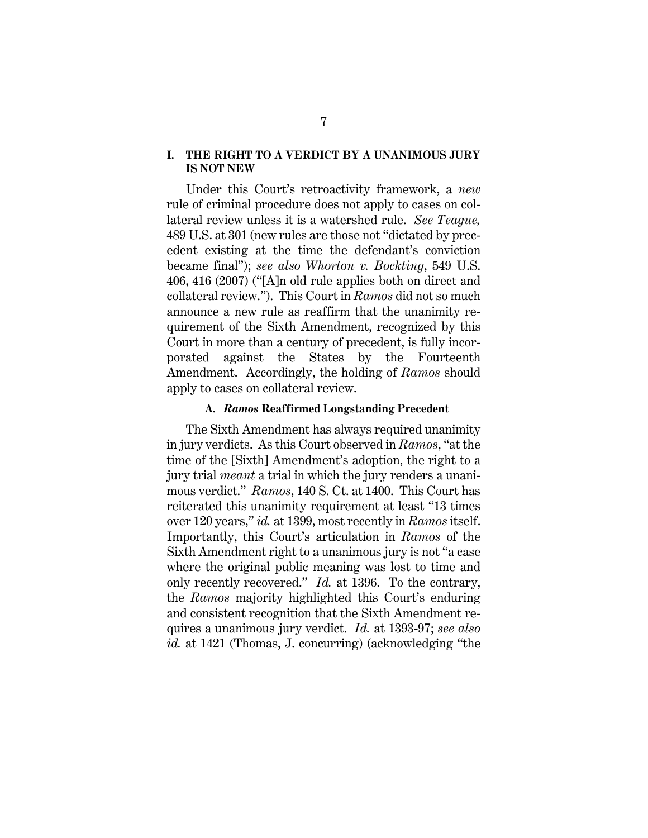#### **I. THE RIGHT TO A VERDICT BY A UNANIMOUS JURY IS NOT NEW**

Under this Court's retroactivity framework, a *new* rule of criminal procedure does not apply to cases on collateral review unless it is a watershed rule. *See Teague,*  489 U.S. at 301 (new rules are those not "dictated by precedent existing at the time the defendant's conviction became final"); *see also Whorton v. Bockting*, 549 U.S. 406, 416 (2007) ("[A]n old rule applies both on direct and collateral review."). This Court in *Ramos* did not so much announce a new rule as reaffirm that the unanimity requirement of the Sixth Amendment, recognized by this Court in more than a century of precedent, is fully incorporated against the States by the Fourteenth Amendment. Accordingly, the holding of *Ramos* should apply to cases on collateral review.

#### **A.** *Ramos* **Reaffirmed Longstanding Precedent**

The Sixth Amendment has always required unanimity in jury verdicts. As this Court observed in *Ramos*, "at the time of the [Sixth] Amendment's adoption, the right to a jury trial *meant* a trial in which the jury renders a unanimous verdict." *Ramos*, 140 S. Ct. at 1400. This Court has reiterated this unanimity requirement at least "13 times over 120 years," *id.* at 1399, most recently in *Ramos* itself. Importantly, this Court's articulation in *Ramos* of the Sixth Amendment right to a unanimous jury is not "a case where the original public meaning was lost to time and only recently recovered." *Id.* at 1396. To the contrary, the *Ramos* majority highlighted this Court's enduring and consistent recognition that the Sixth Amendment requires a unanimous jury verdict. *Id.* at 1393-97; *see also id.* at 1421 (Thomas, J. concurring) (acknowledging "the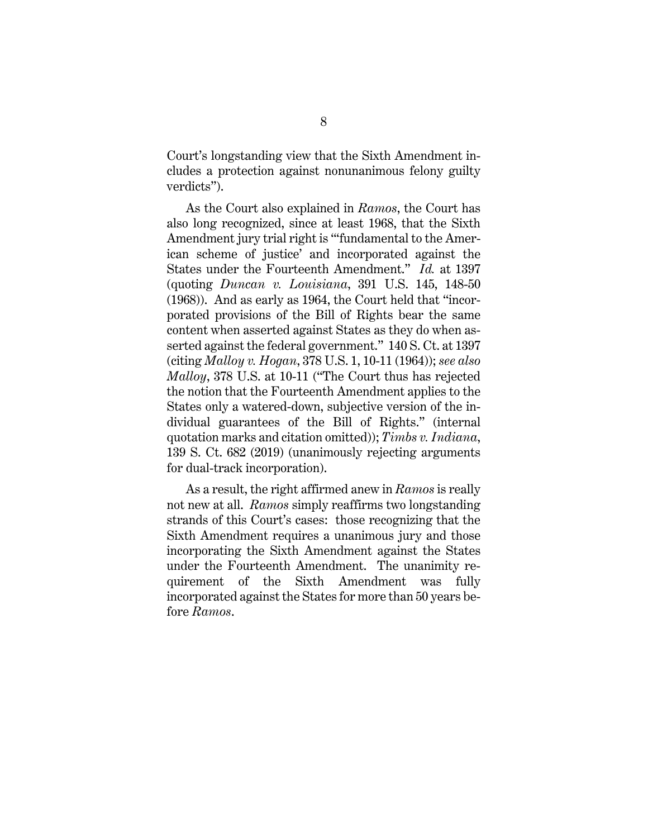Court's longstanding view that the Sixth Amendment includes a protection against nonunanimous felony guilty verdicts").

As the Court also explained in *Ramos*, the Court has also long recognized, since at least 1968, that the Sixth Amendment jury trial right is ""fundamental to the American scheme of justice' and incorporated against the States under the Fourteenth Amendment." *Id.* at 1397 (quoting *Duncan v. Louisiana*, 391 U.S. 145, 148-50 (1968)). And as early as 1964, the Court held that "incorporated provisions of the Bill of Rights bear the same content when asserted against States as they do when asserted against the federal government." 140 S. Ct. at 1397 (citing *Malloy v. Hogan*, 378 U.S. 1, 10-11 (1964)); *see also Malloy*, 378 U.S. at 10-11 ("The Court thus has rejected the notion that the Fourteenth Amendment applies to the States only a watered-down, subjective version of the individual guarantees of the Bill of Rights." (internal quotation marks and citation omitted)); *Timbs v. Indiana*, 139 S. Ct. 682 (2019) (unanimously rejecting arguments for dual-track incorporation).

As a result, the right affirmed anew in *Ramos* is really not new at all. *Ramos* simply reaffirms two longstanding strands of this Court's cases: those recognizing that the Sixth Amendment requires a unanimous jury and those incorporating the Sixth Amendment against the States under the Fourteenth Amendment. The unanimity requirement of the Sixth Amendment was fully incorporated against the States for more than 50 years before *Ramos*.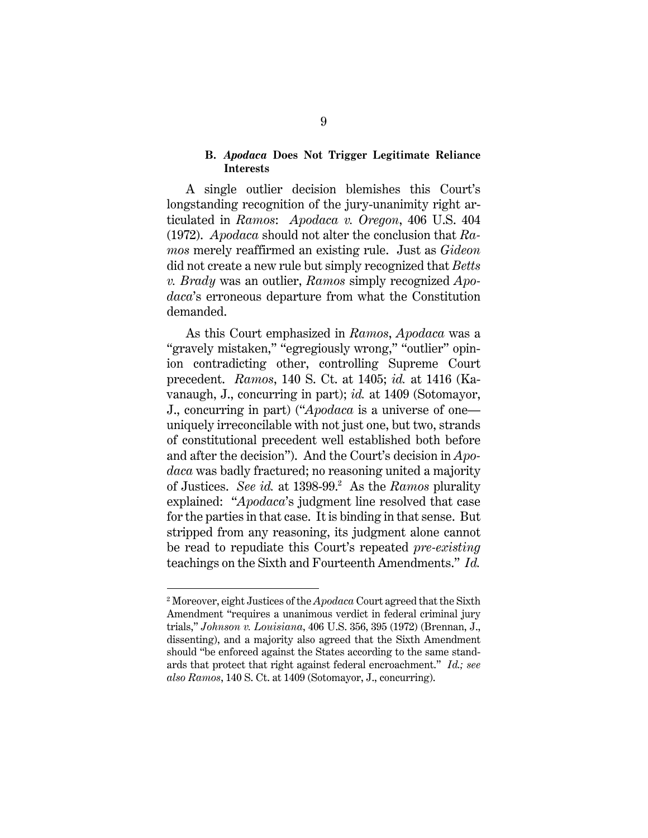#### **B.** *Apodaca* **Does Not Trigger Legitimate Reliance Interests**

A single outlier decision blemishes this Court's longstanding recognition of the jury-unanimity right articulated in *Ramos*: *Apodaca v. Oregon*, 406 U.S. 404 (1972). *Apodaca* should not alter the conclusion that *Ramos* merely reaffirmed an existing rule. Just as *Gideon*  did not create a new rule but simply recognized that *Betts v. Brady* was an outlier, *Ramos* simply recognized *Apodaca*'s erroneous departure from what the Constitution demanded.

As this Court emphasized in *Ramos*, *Apodaca* was a "gravely mistaken," "egregiously wrong," "outlier" opinion contradicting other, controlling Supreme Court precedent. *Ramos*, 140 S. Ct. at 1405; *id.* at 1416 (Kavanaugh, J., concurring in part); *id.* at 1409 (Sotomayor, J., concurring in part) ("*Apodaca* is a universe of one uniquely irreconcilable with not just one, but two, strands of constitutional precedent well established both before and after the decision"). And the Court's decision in *Apodaca* was badly fractured; no reasoning united a majority of Justices. *See id.* at 1398-99.<sup>2</sup> As the *Ramos* plurality explained: "*Apodaca*'s judgment line resolved that case for the parties in that case. It is binding in that sense. But stripped from any reasoning, its judgment alone cannot be read to repudiate this Court's repeated *pre-existing* teachings on the Sixth and Fourteenth Amendments." *Id.*

 $\overline{a}$ 

<sup>2</sup> Moreover, eight Justices of the *Apodaca* Court agreed that the Sixth Amendment "requires a unanimous verdict in federal criminal jury trials," *Johnson v. Louisiana*, 406 U.S. 356, 395 (1972) (Brennan, J., dissenting), and a majority also agreed that the Sixth Amendment should "be enforced against the States according to the same standards that protect that right against federal encroachment." *Id.; see also Ramos*, 140 S. Ct. at 1409 (Sotomayor, J., concurring).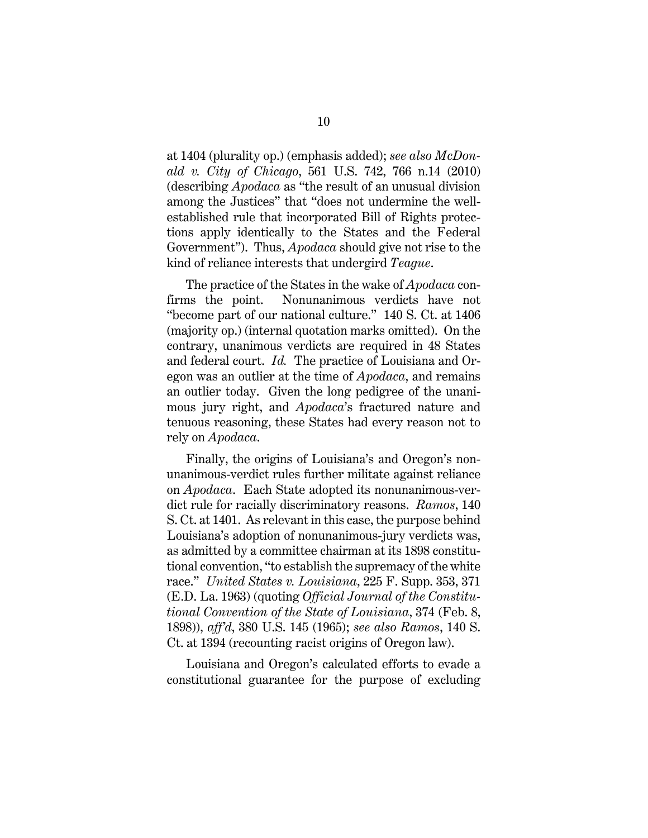at 1404 (plurality op.) (emphasis added); *see also McDonald v. City of Chicago*, 561 U.S. 742, 766 n.14 (2010) (describing *Apodaca* as "the result of an unusual division among the Justices" that "does not undermine the wellestablished rule that incorporated Bill of Rights protections apply identically to the States and the Federal Government"). Thus, *Apodaca* should give not rise to the kind of reliance interests that undergird *Teague*.

The practice of the States in the wake of *Apodaca* confirms the point. Nonunanimous verdicts have not "become part of our national culture." 140 S. Ct. at 1406 (majority op.) (internal quotation marks omitted). On the contrary, unanimous verdicts are required in 48 States and federal court. *Id.* The practice of Louisiana and Oregon was an outlier at the time of *Apodaca*, and remains an outlier today. Given the long pedigree of the unanimous jury right, and *Apodaca*'s fractured nature and tenuous reasoning, these States had every reason not to rely on *Apodaca*.

Finally, the origins of Louisiana's and Oregon's nonunanimous-verdict rules further militate against reliance on *Apodaca*. Each State adopted its nonunanimous-verdict rule for racially discriminatory reasons. *Ramos*, 140 S. Ct. at 1401. As relevant in this case, the purpose behind Louisiana's adoption of nonunanimous-jury verdicts was, as admitted by a committee chairman at its 1898 constitutional convention, "to establish the supremacy of the white race." *United States v. Louisiana*, 225 F. Supp. 353, 371 (E.D. La. 1963) (quoting *Official Journal of the Constitutional Convention of the State of Louisiana*, 374 (Feb. 8, 1898)), *aff'd*, 380 U.S. 145 (1965); *see also Ramos*, 140 S. Ct. at 1394 (recounting racist origins of Oregon law).

Louisiana and Oregon's calculated efforts to evade a constitutional guarantee for the purpose of excluding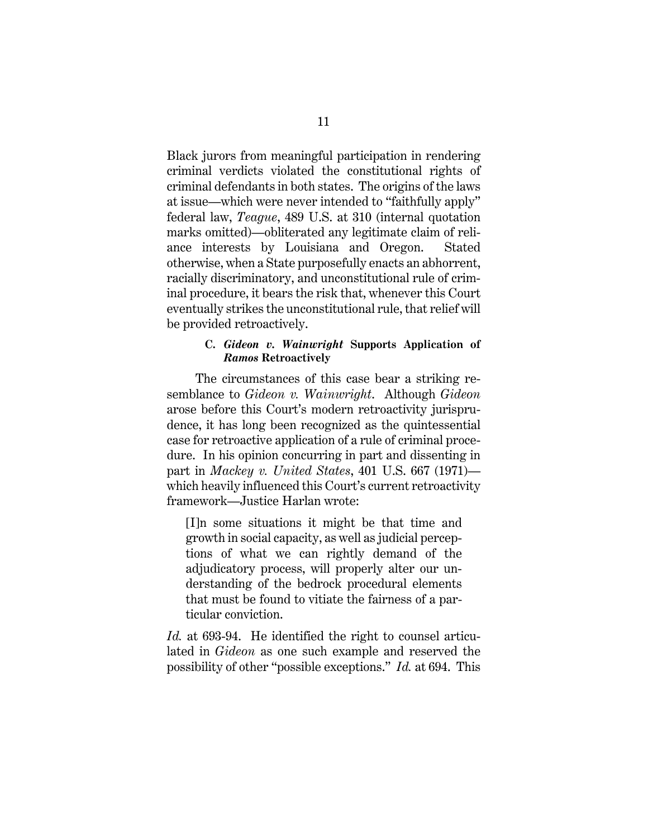Black jurors from meaningful participation in rendering criminal verdicts violated the constitutional rights of criminal defendants in both states. The origins of the laws at issue—which were never intended to "faithfully apply" federal law, *Teague*, 489 U.S. at 310 (internal quotation marks omitted)—obliterated any legitimate claim of reliance interests by Louisiana and Oregon. Stated otherwise, when a State purposefully enacts an abhorrent, racially discriminatory, and unconstitutional rule of criminal procedure, it bears the risk that, whenever this Court eventually strikes the unconstitutional rule, that relief will be provided retroactively.

## **C.** *Gideon v. Wainwright* **Supports Application of**  *Ramos* **Retroactively**

 The circumstances of this case bear a striking resemblance to *Gideon v. Wainwright*. Although *Gideon*  arose before this Court's modern retroactivity jurisprudence, it has long been recognized as the quintessential case for retroactive application of a rule of criminal procedure. In his opinion concurring in part and dissenting in part in *Mackey v. United States*, 401 U.S. 667 (1971) which heavily influenced this Court's current retroactivity framework—Justice Harlan wrote:

[I]n some situations it might be that time and growth in social capacity, as well as judicial perceptions of what we can rightly demand of the adjudicatory process, will properly alter our understanding of the bedrock procedural elements that must be found to vitiate the fairness of a particular conviction.

*Id.* at 693-94. He identified the right to counsel articulated in *Gideon* as one such example and reserved the possibility of other "possible exceptions." *Id.* at 694. This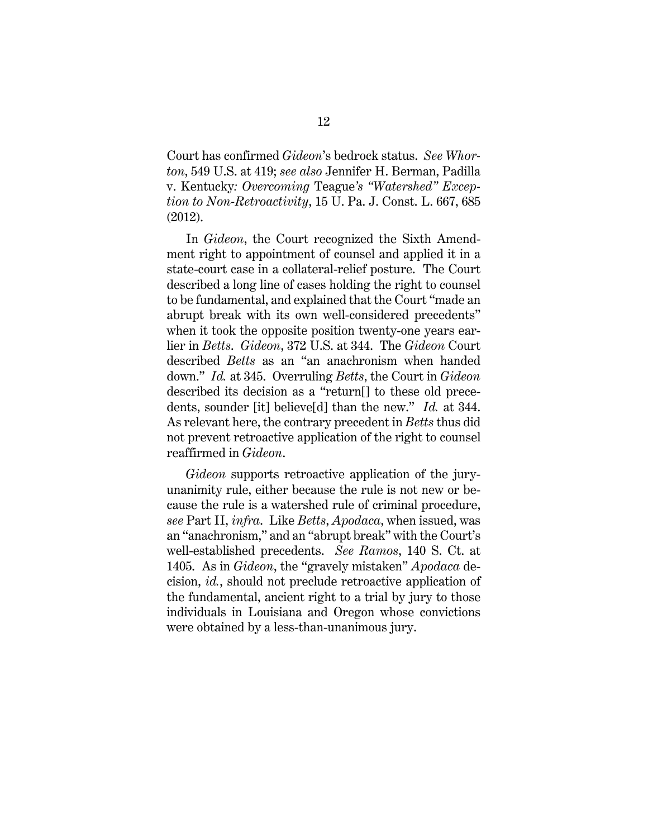Court has confirmed *Gideon*'s bedrock status. *See Whorton*, 549 U.S. at 419; *see also* Jennifer H. Berman, Padilla v. Kentucky*: Overcoming* Teague*'s "Watershed" Exception to Non-Retroactivity*, 15 U. Pa. J. Const. L. 667, 685 (2012).

 In *Gideon*, the Court recognized the Sixth Amendment right to appointment of counsel and applied it in a state-court case in a collateral-relief posture. The Court described a long line of cases holding the right to counsel to be fundamental, and explained that the Court "made an abrupt break with its own well-considered precedents" when it took the opposite position twenty-one years earlier in *Betts*. *Gideon*, 372 U.S. at 344. The *Gideon* Court described *Betts* as an "an anachronism when handed down." *Id.* at 345. Overruling *Betts*, the Court in *Gideon* described its decision as a "return[] to these old precedents, sounder [it] believe[d] than the new." *Id.* at 344. As relevant here, the contrary precedent in *Betts* thus did not prevent retroactive application of the right to counsel reaffirmed in *Gideon*.

*Gideon* supports retroactive application of the juryunanimity rule, either because the rule is not new or because the rule is a watershed rule of criminal procedure, *see* Part II, *infra*. Like *Betts*, *Apodaca*, when issued, was an "anachronism," and an "abrupt break" with the Court's well-established precedents. *See Ramos*, 140 S. Ct. at 1405. As in *Gideon*, the "gravely mistaken" *Apodaca* decision, *id.*, should not preclude retroactive application of the fundamental, ancient right to a trial by jury to those individuals in Louisiana and Oregon whose convictions were obtained by a less-than-unanimous jury.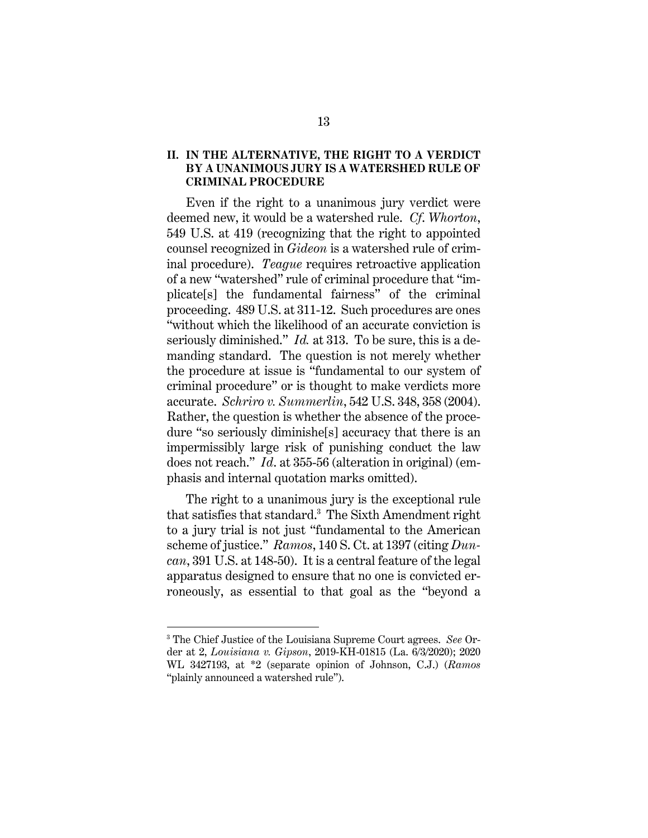## **II. IN THE ALTERNATIVE, THE RIGHT TO A VERDICT BY A UNANIMOUS JURY IS A WATERSHED RULE OF CRIMINAL PROCEDURE**

Even if the right to a unanimous jury verdict were deemed new, it would be a watershed rule. *Cf*. *Whorton*, 549 U.S. at 419 (recognizing that the right to appointed counsel recognized in *Gideon* is a watershed rule of criminal procedure). *Teague* requires retroactive application of a new "watershed" rule of criminal procedure that "implicate[s] the fundamental fairness" of the criminal proceeding. 489 U.S. at 311-12. Such procedures are ones "without which the likelihood of an accurate conviction is seriously diminished." *Id.* at 313. To be sure, this is a demanding standard. The question is not merely whether the procedure at issue is "fundamental to our system of criminal procedure" or is thought to make verdicts more accurate. *Schriro v. Summerlin*, 542 U.S. 348, 358 (2004). Rather, the question is whether the absence of the procedure "so seriously diminishe[s] accuracy that there is an impermissibly large risk of punishing conduct the law does not reach." *Id*. at 355-56 (alteration in original) (emphasis and internal quotation marks omitted).

The right to a unanimous jury is the exceptional rule that satisfies that standard.<sup>3</sup> The Sixth Amendment right to a jury trial is not just "fundamental to the American scheme of justice." *Ramos*, 140 S. Ct. at 1397 (citing *Duncan*, 391 U.S. at 148-50). It is a central feature of the legal apparatus designed to ensure that no one is convicted erroneously, as essential to that goal as the "beyond a

 $\overline{a}$ 

<sup>3</sup> The Chief Justice of the Louisiana Supreme Court agrees. *See* Order at 2, *Louisiana v. Gipson*, 2019-KH-01815 (La. 6/3/2020); 2020 WL 3427193, at \*2 (separate opinion of Johnson, C.J.) (*Ramos*  "plainly announced a watershed rule").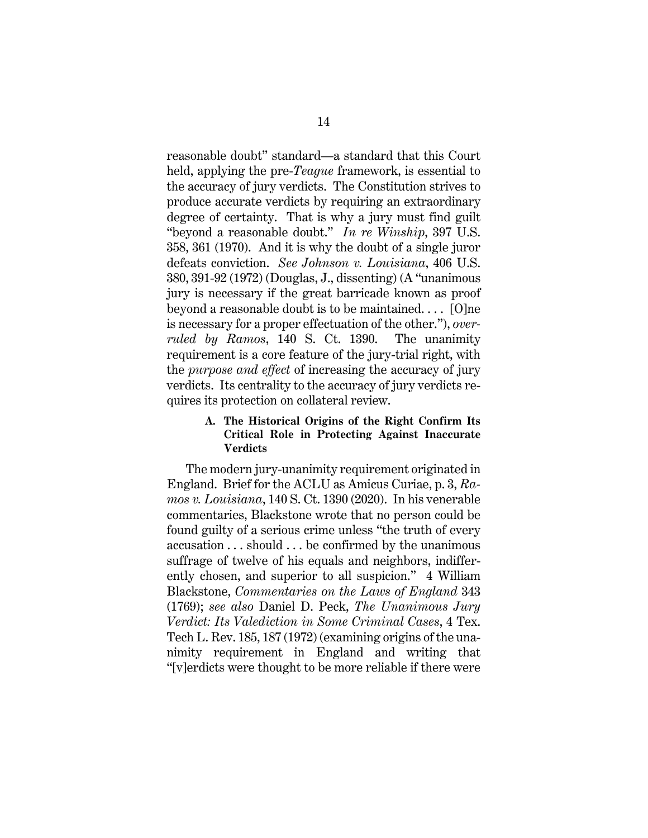reasonable doubt" standard—a standard that this Court held, applying the pre-*Teague* framework, is essential to the accuracy of jury verdicts. The Constitution strives to produce accurate verdicts by requiring an extraordinary degree of certainty. That is why a jury must find guilt "beyond a reasonable doubt." *In re Winship*, 397 U.S. 358, 361 (1970). And it is why the doubt of a single juror defeats conviction. *See Johnson v. Louisiana*, 406 U.S. 380, 391-92 (1972) (Douglas, J., dissenting) (A "unanimous jury is necessary if the great barricade known as proof beyond a reasonable doubt is to be maintained. . . . [O]ne is necessary for a proper effectuation of the other."), *overruled by Ramos*, 140 S. Ct. 1390. The unanimity requirement is a core feature of the jury-trial right, with the *purpose and effect* of increasing the accuracy of jury verdicts. Its centrality to the accuracy of jury verdicts requires its protection on collateral review.

## **A. The Historical Origins of the Right Confirm Its Critical Role in Protecting Against Inaccurate Verdicts**

The modern jury-unanimity requirement originated in England. Brief for the ACLU as Amicus Curiae, p. 3, *Ramos v. Louisiana*, 140 S. Ct. 1390 (2020). In his venerable commentaries, Blackstone wrote that no person could be found guilty of a serious crime unless "the truth of every accusation . . . should . . . be confirmed by the unanimous suffrage of twelve of his equals and neighbors, indifferently chosen, and superior to all suspicion." 4 William Blackstone, *Commentaries on the Laws of England* 343 (1769); *see also* Daniel D. Peck, *The Unanimous Jury Verdict: Its Valediction in Some Criminal Cases*, 4 Tex. Tech L. Rev. 185, 187 (1972) (examining origins of the unanimity requirement in England and writing that "[v]erdicts were thought to be more reliable if there were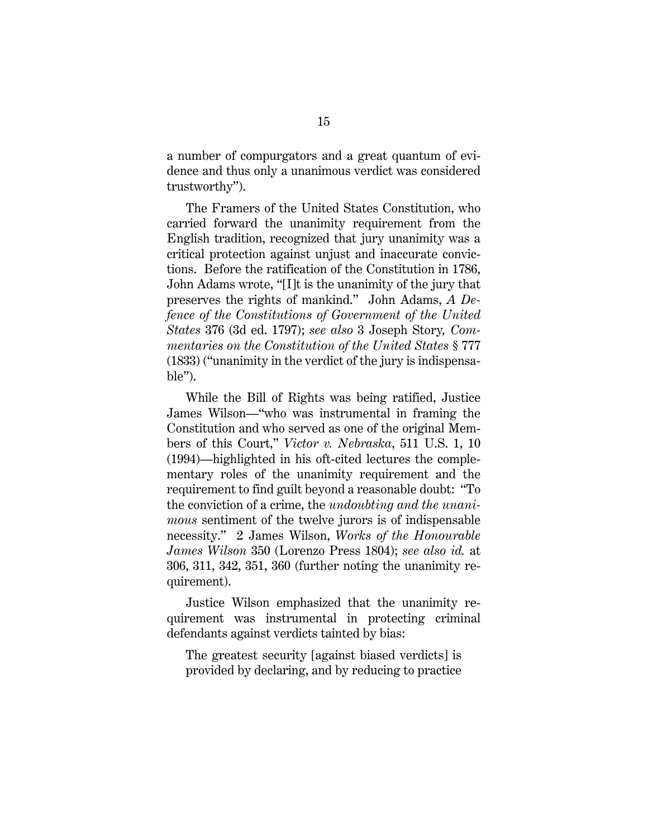a number of compurgators and a great quantum of evidence and thus only a unanimous verdict was considered trustworthy").

The Framers of the United States Constitution, who carried forward the unanimity requirement from the English tradition, recognized that jury unanimity was a critical protection against unjust and inaccurate convictions. Before the ratification of the Constitution in 1786, John Adams wrote, "[I]t is the unanimity of the jury that preserves the rights of mankind." John Adams, *A Defence of the Constitutions of Government of the United States* 376 (3d ed. 1797); *see also* 3 Joseph Story*, Commentaries on the Constitution of the United States* § 777 (1833) ("unanimity in the verdict of the jury is indispensa $ble$ ").

While the Bill of Rights was being ratified, Justice James Wilson—"who was instrumental in framing the Constitution and who served as one of the original Members of this Court," *Victor v. Nebraska*, 511 U.S. 1, 10 (1994)—highlighted in his oft-cited lectures the complementary roles of the unanimity requirement and the requirement to find guilt beyond a reasonable doubt: "To the conviction of a crime, the *undoubting and the unanimous* sentiment of the twelve jurors is of indispensable necessity." 2 James Wilson, *Works of the Honourable James Wilson* 350 (Lorenzo Press 1804); *see also id.* at 306, 311, 342, 351, 360 (further noting the unanimity requirement).

Justice Wilson emphasized that the unanimity requirement was instrumental in protecting criminal defendants against verdicts tainted by bias:

The greatest security [against biased verdicts] is provided by declaring, and by reducing to practice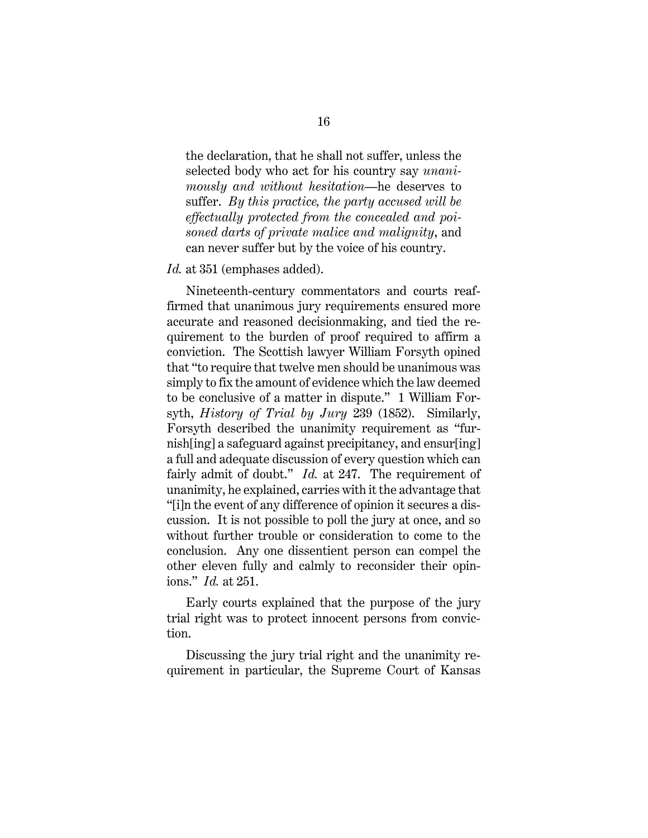the declaration, that he shall not suffer, unless the selected body who act for his country say *unanimously and without hesitation*—he deserves to suffer. *By this practice, the party accused will be effectually protected from the concealed and poisoned darts of private malice and malignity*, and can never suffer but by the voice of his country.

#### *Id.* at 351 (emphases added).

Nineteenth-century commentators and courts reaffirmed that unanimous jury requirements ensured more accurate and reasoned decisionmaking, and tied the requirement to the burden of proof required to affirm a conviction. The Scottish lawyer William Forsyth opined that "to require that twelve men should be unanimous was simply to fix the amount of evidence which the law deemed to be conclusive of a matter in dispute." 1 William Forsyth, *History of Trial by Jury* 239 (1852). Similarly, Forsyth described the unanimity requirement as "furnish[ing] a safeguard against precipitancy, and ensur[ing] a full and adequate discussion of every question which can fairly admit of doubt." *Id.* at 247. The requirement of unanimity, he explained, carries with it the advantage that "[i]n the event of any difference of opinion it secures a discussion. It is not possible to poll the jury at once, and so without further trouble or consideration to come to the conclusion. Any one dissentient person can compel the other eleven fully and calmly to reconsider their opinions." *Id.* at 251.

Early courts explained that the purpose of the jury trial right was to protect innocent persons from conviction.

Discussing the jury trial right and the unanimity requirement in particular, the Supreme Court of Kansas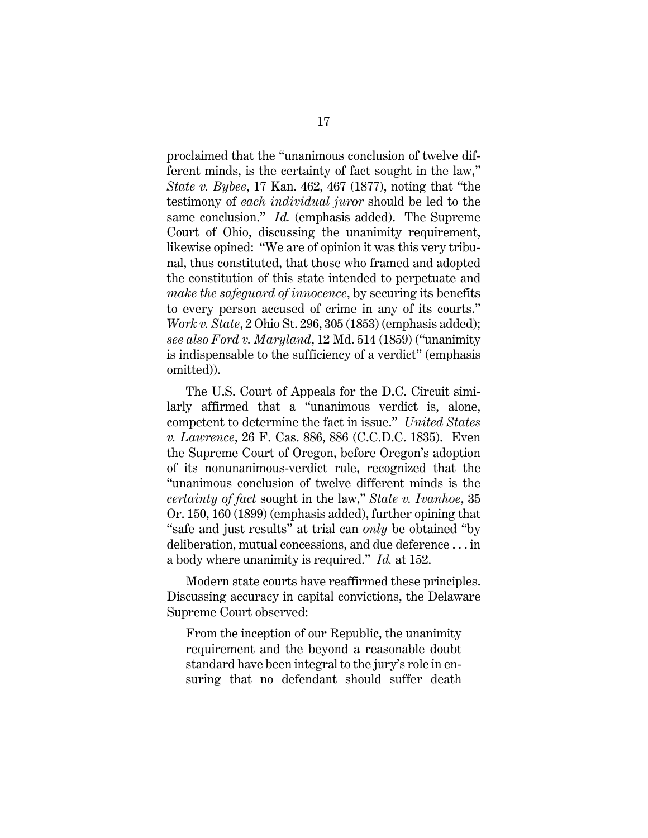proclaimed that the "unanimous conclusion of twelve different minds, is the certainty of fact sought in the law," *State v. Bybee*, 17 Kan. 462, 467 (1877), noting that "the testimony of *each individual juror* should be led to the same conclusion." *Id.* (emphasis added). The Supreme Court of Ohio, discussing the unanimity requirement, likewise opined: "We are of opinion it was this very tribunal, thus constituted, that those who framed and adopted the constitution of this state intended to perpetuate and *make the safeguard of innocence*, by securing its benefits to every person accused of crime in any of its courts." *Work v. State*, 2 Ohio St. 296, 305 (1853) (emphasis added); *see also Ford v. Maryland*, 12 Md. 514 (1859) ("unanimity is indispensable to the sufficiency of a verdict" (emphasis omitted)).

The U.S. Court of Appeals for the D.C. Circuit similarly affirmed that a "unanimous verdict is, alone, competent to determine the fact in issue." *United States v. Lawrence*, 26 F. Cas. 886, 886 (C.C.D.C. 1835). Even the Supreme Court of Oregon, before Oregon's adoption of its nonunanimous-verdict rule, recognized that the "unanimous conclusion of twelve different minds is the *certainty of fact* sought in the law," *State v. Ivanhoe*, 35 Or. 150, 160 (1899) (emphasis added), further opining that "safe and just results" at trial can *only* be obtained "by deliberation, mutual concessions, and due deference . . . in a body where unanimity is required." *Id.* at 152.

Modern state courts have reaffirmed these principles. Discussing accuracy in capital convictions, the Delaware Supreme Court observed:

From the inception of our Republic, the unanimity requirement and the beyond a reasonable doubt standard have been integral to the jury's role in ensuring that no defendant should suffer death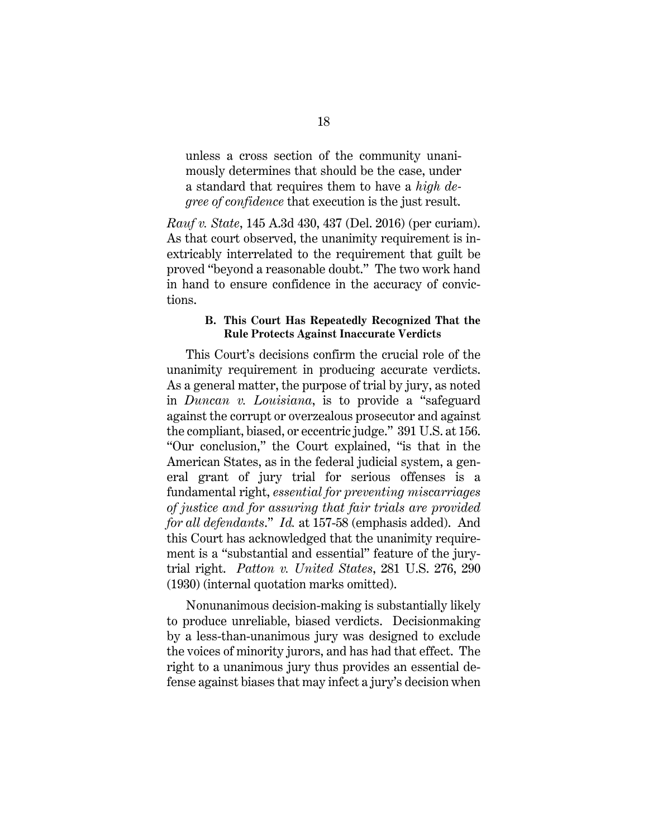unless a cross section of the community unanimously determines that should be the case, under a standard that requires them to have a *high degree of confidence* that execution is the just result.

*Rauf v. State*, 145 A.3d 430, 437 (Del. 2016) (per curiam). As that court observed, the unanimity requirement is inextricably interrelated to the requirement that guilt be proved "beyond a reasonable doubt." The two work hand in hand to ensure confidence in the accuracy of convictions.

# **B. This Court Has Repeatedly Recognized That the Rule Protects Against Inaccurate Verdicts**

This Court's decisions confirm the crucial role of the unanimity requirement in producing accurate verdicts. As a general matter, the purpose of trial by jury, as noted in *Duncan v. Louisiana*, is to provide a "safeguard against the corrupt or overzealous prosecutor and against the compliant, biased, or eccentric judge." 391 U.S. at 156. "Our conclusion," the Court explained, "is that in the American States, as in the federal judicial system, a general grant of jury trial for serious offenses is a fundamental right, *essential for preventing miscarriages of justice and for assuring that fair trials are provided for all defendants*." *Id.* at 157-58 (emphasis added). And this Court has acknowledged that the unanimity requirement is a "substantial and essential" feature of the jurytrial right. *Patton v. United States*, 281 U.S. 276, 290 (1930) (internal quotation marks omitted).

Nonunanimous decision-making is substantially likely to produce unreliable, biased verdicts. Decisionmaking by a less-than-unanimous jury was designed to exclude the voices of minority jurors, and has had that effect. The right to a unanimous jury thus provides an essential defense against biases that may infect a jury's decision when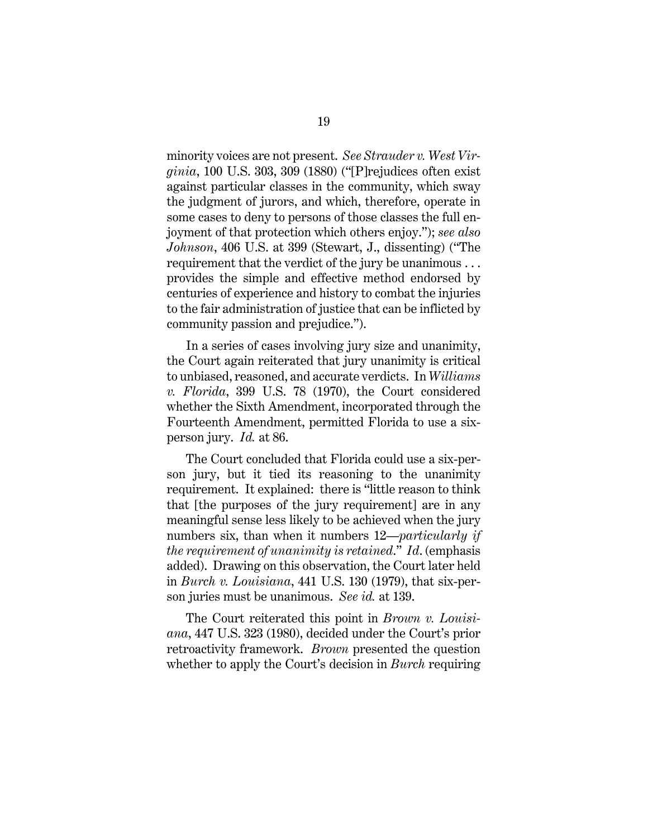minority voices are not present. *See Strauder v. West Virginia*, 100 U.S. 303, 309 (1880) ("[P]rejudices often exist against particular classes in the community, which sway the judgment of jurors, and which, therefore, operate in some cases to deny to persons of those classes the full enjoyment of that protection which others enjoy."); *see also Johnson*, 406 U.S. at 399 (Stewart, J., dissenting) ("The requirement that the verdict of the jury be unanimous . . . provides the simple and effective method endorsed by centuries of experience and history to combat the injuries to the fair administration of justice that can be inflicted by community passion and prejudice.").

In a series of cases involving jury size and unanimity, the Court again reiterated that jury unanimity is critical to unbiased, reasoned, and accurate verdicts. In *Williams v. Florida*, 399 U.S. 78 (1970), the Court considered whether the Sixth Amendment, incorporated through the Fourteenth Amendment, permitted Florida to use a sixperson jury. *Id.* at 86.

The Court concluded that Florida could use a six-person jury, but it tied its reasoning to the unanimity requirement. It explained: there is "little reason to think that [the purposes of the jury requirement] are in any meaningful sense less likely to be achieved when the jury numbers six, than when it numbers 12—*particularly if the requirement of unanimity is retained*." *Id*. (emphasis added). Drawing on this observation, the Court later held in *Burch v. Louisiana*, 441 U.S. 130 (1979), that six-person juries must be unanimous. *See id.* at 139.

The Court reiterated this point in *Brown v. Louisiana*, 447 U.S. 323 (1980), decided under the Court's prior retroactivity framework. *Brown* presented the question whether to apply the Court's decision in *Burch* requiring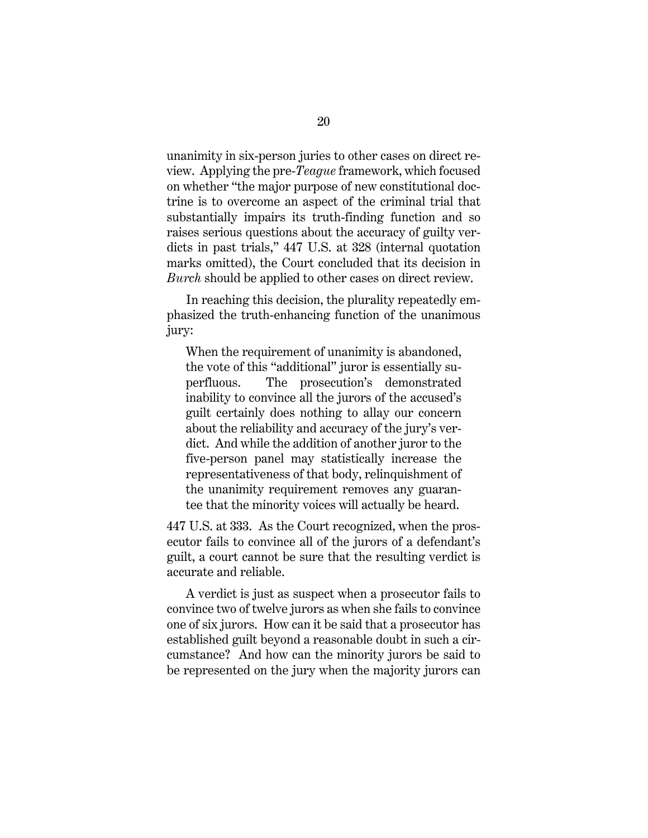unanimity in six-person juries to other cases on direct review. Applying the pre-*Teague* framework, which focused on whether "the major purpose of new constitutional doctrine is to overcome an aspect of the criminal trial that substantially impairs its truth-finding function and so raises serious questions about the accuracy of guilty verdicts in past trials," 447 U.S. at 328 (internal quotation marks omitted), the Court concluded that its decision in *Burch* should be applied to other cases on direct review.

In reaching this decision, the plurality repeatedly emphasized the truth-enhancing function of the unanimous jury:

When the requirement of unanimity is abandoned, the vote of this "additional" juror is essentially superfluous. The prosecution's demonstrated inability to convince all the jurors of the accused's guilt certainly does nothing to allay our concern about the reliability and accuracy of the jury's verdict. And while the addition of another juror to the five-person panel may statistically increase the representativeness of that body, relinquishment of the unanimity requirement removes any guarantee that the minority voices will actually be heard.

447 U.S. at 333. As the Court recognized, when the prosecutor fails to convince all of the jurors of a defendant's guilt, a court cannot be sure that the resulting verdict is accurate and reliable.

A verdict is just as suspect when a prosecutor fails to convince two of twelve jurors as when she fails to convince one of six jurors. How can it be said that a prosecutor has established guilt beyond a reasonable doubt in such a circumstance? And how can the minority jurors be said to be represented on the jury when the majority jurors can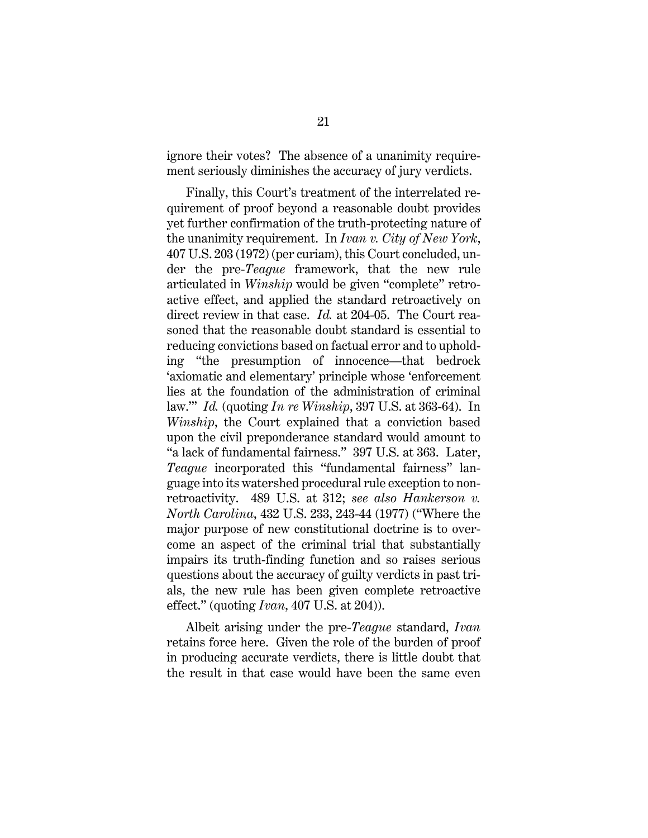ignore their votes? The absence of a unanimity requirement seriously diminishes the accuracy of jury verdicts.

Finally, this Court's treatment of the interrelated requirement of proof beyond a reasonable doubt provides yet further confirmation of the truth-protecting nature of the unanimity requirement. In *Ivan v. City of New York*, 407 U.S. 203 (1972) (per curiam), this Court concluded, under the pre-*Teague* framework, that the new rule articulated in *Winship* would be given "complete" retroactive effect, and applied the standard retroactively on direct review in that case. *Id.* at 204-05. The Court reasoned that the reasonable doubt standard is essential to reducing convictions based on factual error and to upholding "the presumption of innocence—that bedrock 'axiomatic and elementary' principle whose 'enforcement lies at the foundation of the administration of criminal law.'" *Id.* (quoting *In re Winship*, 397 U.S. at 363-64). In *Winship*, the Court explained that a conviction based upon the civil preponderance standard would amount to "a lack of fundamental fairness." 397 U.S. at 363. Later, *Teague* incorporated this "fundamental fairness" language into its watershed procedural rule exception to nonretroactivity. 489 U.S. at 312; *see also Hankerson v. North Carolina*, 432 U.S. 233, 243-44 (1977) ("Where the major purpose of new constitutional doctrine is to overcome an aspect of the criminal trial that substantially impairs its truth-finding function and so raises serious questions about the accuracy of guilty verdicts in past trials, the new rule has been given complete retroactive effect." (quoting *Ivan*, 407 U.S. at 204)).

Albeit arising under the pre-*Teague* standard, *Ivan*  retains force here. Given the role of the burden of proof in producing accurate verdicts, there is little doubt that the result in that case would have been the same even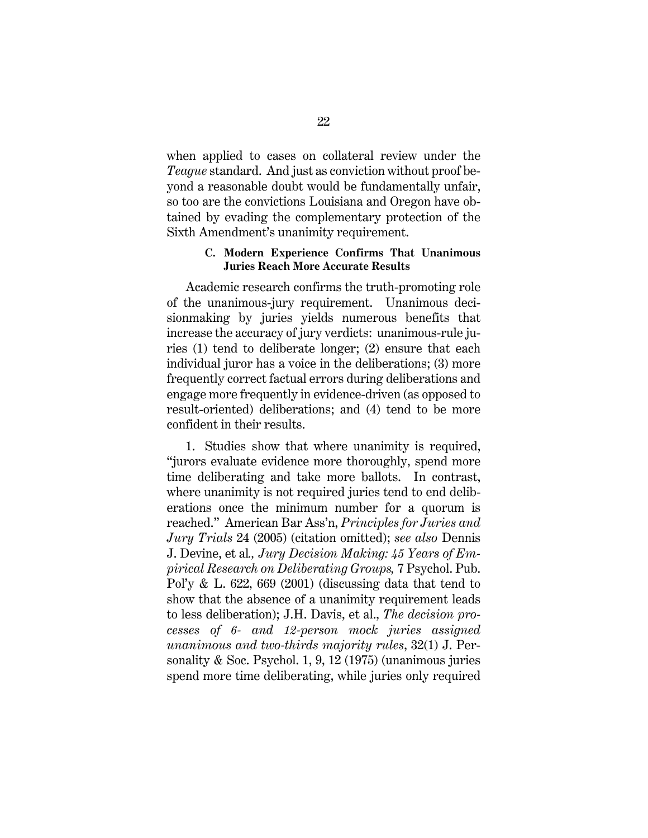when applied to cases on collateral review under the *Teague* standard. And just as conviction without proof beyond a reasonable doubt would be fundamentally unfair, so too are the convictions Louisiana and Oregon have obtained by evading the complementary protection of the Sixth Amendment's unanimity requirement.

## **C. Modern Experience Confirms That Unanimous Juries Reach More Accurate Results**

Academic research confirms the truth-promoting role of the unanimous-jury requirement. Unanimous decisionmaking by juries yields numerous benefits that increase the accuracy of jury verdicts: unanimous-rule juries (1) tend to deliberate longer; (2) ensure that each individual juror has a voice in the deliberations; (3) more frequently correct factual errors during deliberations and engage more frequently in evidence-driven (as opposed to result-oriented) deliberations; and (4) tend to be more confident in their results.

1. Studies show that where unanimity is required, "jurors evaluate evidence more thoroughly, spend more time deliberating and take more ballots. In contrast, where unanimity is not required juries tend to end deliberations once the minimum number for a quorum is reached." American Bar Ass'n, *Principles for Juries and Jury Trials* 24 (2005) (citation omitted); *see also* Dennis J. Devine, et al*., Jury Decision Making: 45 Years of Empirical Research on Deliberating Groups,* 7 Psychol. Pub. Pol'y  $\&$  L. 622, 669 (2001) (discussing data that tend to show that the absence of a unanimity requirement leads to less deliberation); J.H. Davis, et al., *The decision processes of 6- and 12-person mock juries assigned unanimous and two-thirds majority rules*, 32(1) J. Personality & Soc. Psychol. 1, 9, 12 (1975) (unanimous juries spend more time deliberating, while juries only required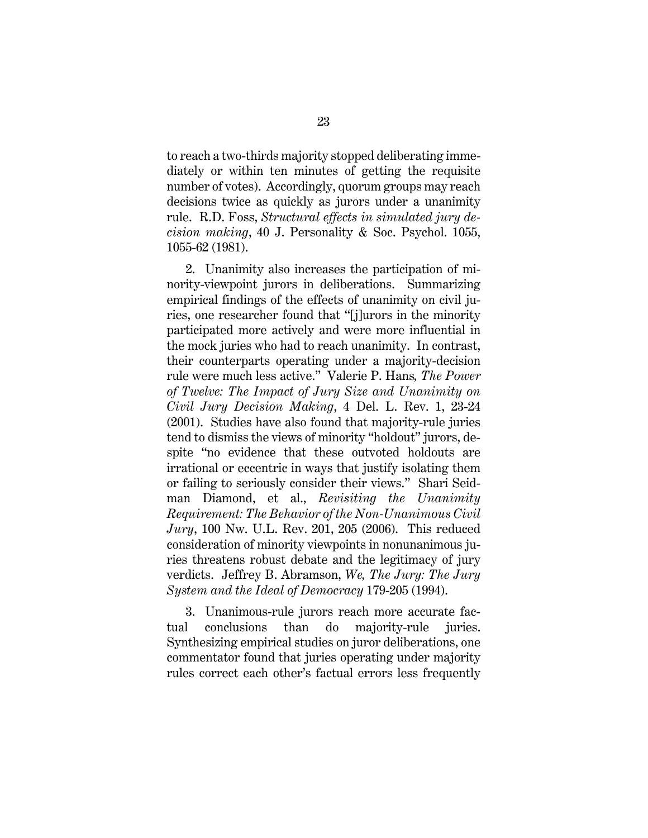to reach a two-thirds majority stopped deliberating immediately or within ten minutes of getting the requisite number of votes). Accordingly, quorum groups may reach decisions twice as quickly as jurors under a unanimity rule. R.D. Foss, *Structural effects in simulated jury decision making*, 40 J. Personality & Soc. Psychol. 1055, 1055-62 (1981).

2. Unanimity also increases the participation of minority-viewpoint jurors in deliberations. Summarizing empirical findings of the effects of unanimity on civil juries, one researcher found that "[j]urors in the minority participated more actively and were more influential in the mock juries who had to reach unanimity. In contrast, their counterparts operating under a majority-decision rule were much less active." Valerie P. Hans*, The Power of Twelve: The Impact of Jury Size and Unanimity on Civil Jury Decision Making*, 4 Del. L. Rev. 1, 23-24 (2001). Studies have also found that majority-rule juries tend to dismiss the views of minority "holdout" jurors, despite "no evidence that these outvoted holdouts are irrational or eccentric in ways that justify isolating them or failing to seriously consider their views." Shari Seidman Diamond, et al., *Revisiting the Unanimity Requirement: The Behavior of the Non-Unanimous Civil Jury*, 100 Nw. U.L. Rev. 201, 205 (2006). This reduced consideration of minority viewpoints in nonunanimous juries threatens robust debate and the legitimacy of jury verdicts. Jeffrey B. Abramson, *We, The Jury: The Jury System and the Ideal of Democracy* 179-205 (1994).

3. Unanimous-rule jurors reach more accurate factual conclusions than do majority-rule juries. Synthesizing empirical studies on juror deliberations, one commentator found that juries operating under majority rules correct each other's factual errors less frequently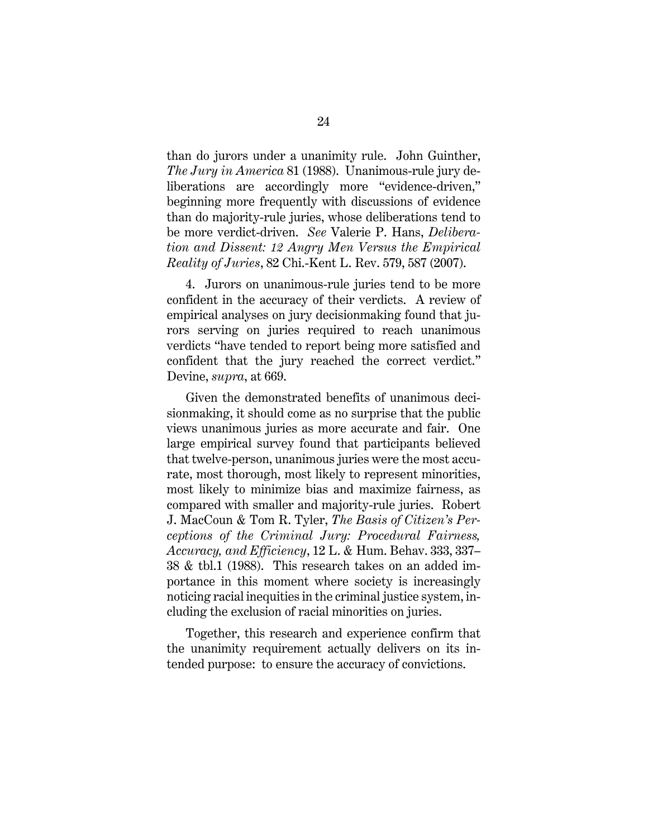than do jurors under a unanimity rule. John Guinther, *The Jury in America* 81 (1988). Unanimous-rule jury deliberations are accordingly more "evidence-driven," beginning more frequently with discussions of evidence than do majority-rule juries, whose deliberations tend to be more verdict-driven. *See* Valerie P. Hans, *Deliberation and Dissent: 12 Angry Men Versus the Empirical Reality of Juries*, 82 Chi.-Kent L. Rev. 579, 587 (2007).

4. Jurors on unanimous-rule juries tend to be more confident in the accuracy of their verdicts. A review of empirical analyses on jury decisionmaking found that jurors serving on juries required to reach unanimous verdicts "have tended to report being more satisfied and confident that the jury reached the correct verdict." Devine, *supra*, at 669.

Given the demonstrated benefits of unanimous decisionmaking, it should come as no surprise that the public views unanimous juries as more accurate and fair. One large empirical survey found that participants believed that twelve-person, unanimous juries were the most accurate, most thorough, most likely to represent minorities, most likely to minimize bias and maximize fairness, as compared with smaller and majority-rule juries. Robert J. MacCoun & Tom R. Tyler, *The Basis of Citizen's Perceptions of the Criminal Jury: Procedural Fairness, Accuracy, and Efficiency*, 12 L. & Hum. Behav. 333, 337– 38 & tbl.1 (1988). This research takes on an added importance in this moment where society is increasingly noticing racial inequities in the criminal justice system, including the exclusion of racial minorities on juries.

Together, this research and experience confirm that the unanimity requirement actually delivers on its intended purpose: to ensure the accuracy of convictions.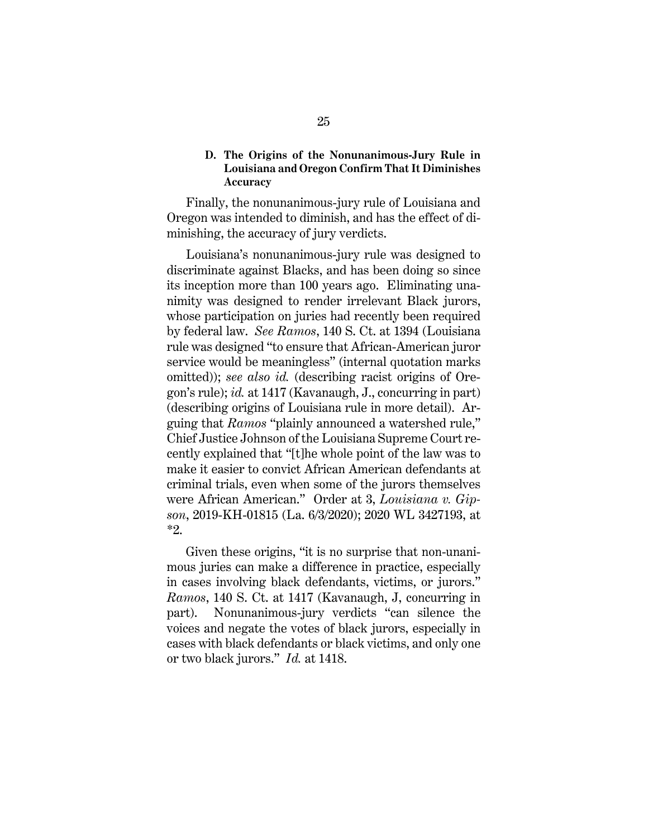### **D. The Origins of the Nonunanimous-Jury Rule in Louisiana and Oregon Confirm That It Diminishes Accuracy**

Finally, the nonunanimous-jury rule of Louisiana and Oregon was intended to diminish, and has the effect of diminishing, the accuracy of jury verdicts.

 Louisiana's nonunanimous-jury rule was designed to discriminate against Blacks, and has been doing so since its inception more than 100 years ago. Eliminating unanimity was designed to render irrelevant Black jurors, whose participation on juries had recently been required by federal law. *See Ramos*, 140 S. Ct. at 1394 (Louisiana rule was designed "to ensure that African-American juror service would be meaningless" (internal quotation marks omitted)); *see also id.* (describing racist origins of Oregon's rule); *id.* at 1417 (Kavanaugh, J., concurring in part) (describing origins of Louisiana rule in more detail). Arguing that *Ramos* "plainly announced a watershed rule," Chief Justice Johnson of the Louisiana Supreme Court recently explained that "[t]he whole point of the law was to make it easier to convict African American defendants at criminal trials, even when some of the jurors themselves were African American." Order at 3, *Louisiana v. Gipson*, 2019-KH-01815 (La. 6/3/2020); 2020 WL 3427193, at \*2.

Given these origins, "it is no surprise that non-unanimous juries can make a difference in practice, especially in cases involving black defendants, victims, or jurors." *Ramos*, 140 S. Ct. at 1417 (Kavanaugh, J, concurring in part). Nonunanimous-jury verdicts "can silence the voices and negate the votes of black jurors, especially in cases with black defendants or black victims, and only one or two black jurors." *Id.* at 1418.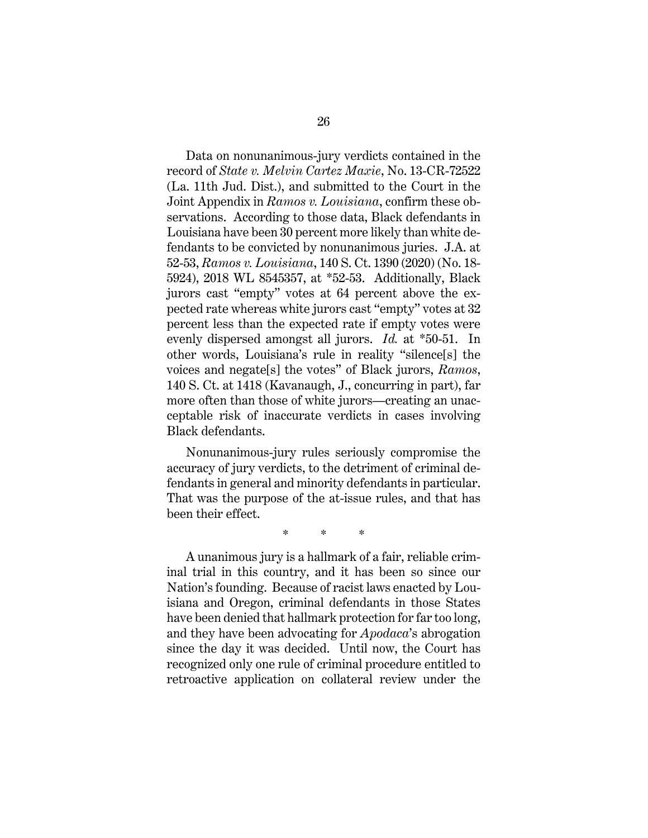Data on nonunanimous-jury verdicts contained in the record of *State v. Melvin Cartez Maxie*, No. 13-CR-72522 (La. 11th Jud. Dist.), and submitted to the Court in the Joint Appendix in *Ramos v. Louisiana*, confirm these observations. According to those data, Black defendants in Louisiana have been 30 percent more likely than white defendants to be convicted by nonunanimous juries. J.A. at 52-53, *Ramos v. Louisiana*, 140 S. Ct. 1390 (2020) (No. 18- 5924), 2018 WL 8545357, at \*52-53. Additionally, Black jurors cast "empty" votes at 64 percent above the expected rate whereas white jurors cast "empty" votes at 32 percent less than the expected rate if empty votes were evenly dispersed amongst all jurors. *Id.* at \*50-51. In other words, Louisiana's rule in reality "silence[s] the voices and negate[s] the votes" of Black jurors, *Ramos*, 140 S. Ct. at 1418 (Kavanaugh, J., concurring in part), far more often than those of white jurors—creating an unacceptable risk of inaccurate verdicts in cases involving Black defendants.

Nonunanimous-jury rules seriously compromise the accuracy of jury verdicts, to the detriment of criminal defendants in general and minority defendants in particular. That was the purpose of the at-issue rules, and that has been their effect.

\* \* \*

A unanimous jury is a hallmark of a fair, reliable criminal trial in this country, and it has been so since our Nation's founding. Because of racist laws enacted by Louisiana and Oregon, criminal defendants in those States have been denied that hallmark protection for far too long, and they have been advocating for *Apodaca*'s abrogation since the day it was decided. Until now, the Court has recognized only one rule of criminal procedure entitled to retroactive application on collateral review under the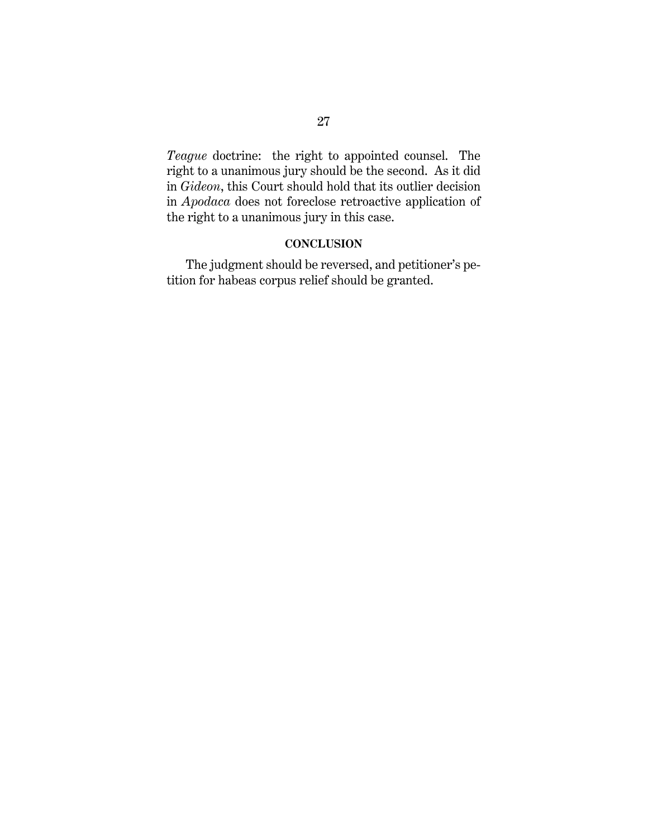*Teague* doctrine: the right to appointed counsel. The right to a unanimous jury should be the second. As it did in *Gideon*, this Court should hold that its outlier decision in *Apodaca* does not foreclose retroactive application of the right to a unanimous jury in this case.

# **CONCLUSION**

The judgment should be reversed, and petitioner's petition for habeas corpus relief should be granted.